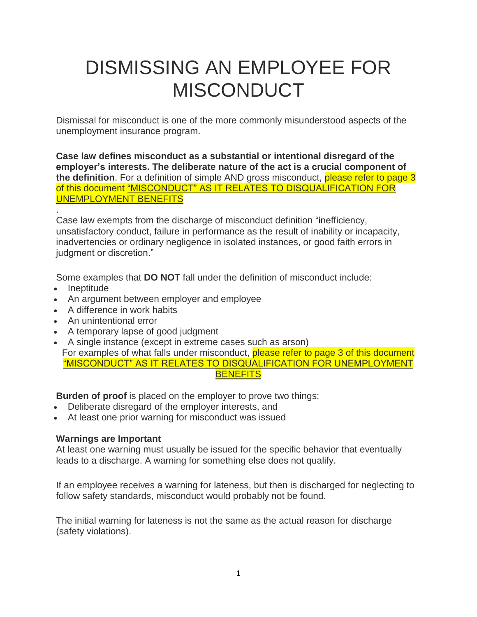# DISMISSING AN EMPLOYEE FOR **MISCONDUCT**

Dismissal for misconduct is one of the more commonly misunderstood aspects of the unemployment insurance program.

**Case law defines misconduct as a substantial or intentional disregard of the employer's interests. The deliberate nature of the act is a crucial component of the definition**. For a definition of simple AND gross misconduct, please refer to page 3 of this document "MISCONDUCT" AS IT RELATES TO DISQUALIFICATION FOR UNEMPLOYMENT BENEFITS

. Case law exempts from the discharge of misconduct definition "inefficiency, unsatisfactory conduct, failure in performance as the result of inability or incapacity, inadvertencies or ordinary negligence in isolated instances, or good faith errors in judgment or discretion."

Some examples that **DO NOT** fall under the definition of misconduct include:

- Ineptitude
- An argument between employer and employee
- A difference in work habits
- An unintentional error
- A temporary lapse of good judgment
- A single instance (except in extreme cases such as arson) For examples of what falls under misconduct, please refer to page 3 of this document "MISCONDUCT" AS IT RELATES TO DISQUALIFICATION FOR UNEMPLOYMENT **BENEFITS**

**Burden of proof** is placed on the employer to prove two things:

- Deliberate disregard of the employer interests, and
- At least one prior warning for misconduct was issued

## **Warnings are Important**

At least one warning must usually be issued for the specific behavior that eventually leads to a discharge. A warning for something else does not qualify.

If an employee receives a warning for lateness, but then is discharged for neglecting to follow safety standards, misconduct would probably not be found.

The initial warning for lateness is not the same as the actual reason for discharge (safety violations).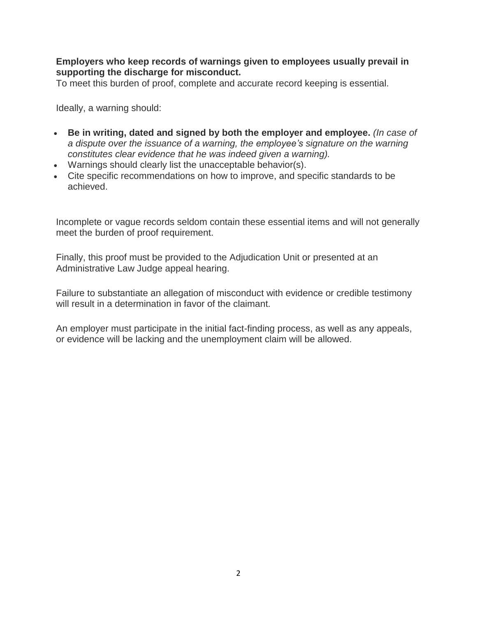#### **Employers who keep records of warnings given to employees usually prevail in supporting the discharge for misconduct.**

To meet this burden of proof, complete and accurate record keeping is essential.

Ideally, a warning should:

- **Be in writing, dated and signed by both the employer and employee.** *(In case of a dispute over the issuance of a warning, the employee's signature on the warning constitutes clear evidence that he was indeed given a warning).*
- Warnings should clearly list the unacceptable behavior(s).
- Cite specific recommendations on how to improve, and specific standards to be achieved.

Incomplete or vague records seldom contain these essential items and will not generally meet the burden of proof requirement.

Finally, this proof must be provided to the Adjudication Unit or presented at an Administrative Law Judge appeal hearing.

Failure to substantiate an allegation of misconduct with evidence or credible testimony will result in a determination in favor of the claimant.

An employer must participate in the initial fact-finding process, as well as any appeals, or evidence will be lacking and the unemployment claim will be allowed.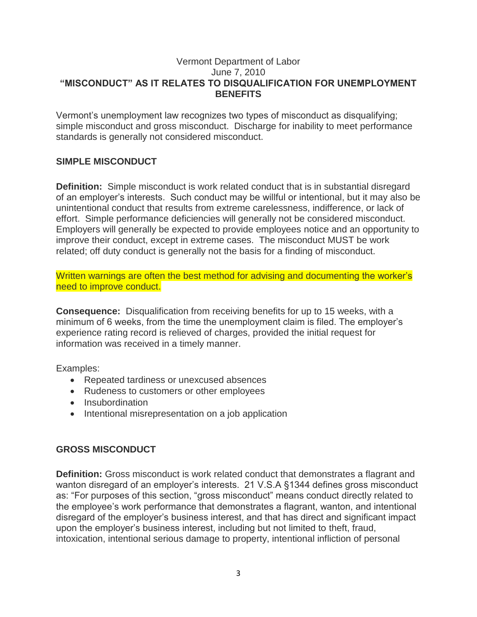#### Vermont Department of Labor June 7, 2010 **"MISCONDUCT" AS IT RELATES TO DISQUALIFICATION FOR UNEMPLOYMENT BENEFITS**

Vermont's unemployment law recognizes two types of misconduct as disqualifying; simple misconduct and gross misconduct. Discharge for inability to meet performance standards is generally not considered misconduct.

## **SIMPLE MISCONDUCT**

**Definition:** Simple misconduct is work related conduct that is in substantial disregard of an employer's interests. Such conduct may be willful or intentional, but it may also be unintentional conduct that results from extreme carelessness, indifference, or lack of effort. Simple performance deficiencies will generally not be considered misconduct. Employers will generally be expected to provide employees notice and an opportunity to improve their conduct, except in extreme cases. The misconduct MUST be work related; off duty conduct is generally not the basis for a finding of misconduct.

Written warnings are often the best method for advising and documenting the worker's need to improve conduct.

**Consequence:** Disqualification from receiving benefits for up to 15 weeks, with a minimum of 6 weeks, from the time the unemployment claim is filed. The employer's experience rating record is relieved of charges, provided the initial request for information was received in a timely manner.

Examples:

- Repeated tardiness or unexcused absences
- Rudeness to customers or other employees
- Insubordination
- Intentional misrepresentation on a job application

## **GROSS MISCONDUCT**

**Definition:** Gross misconduct is work related conduct that demonstrates a flagrant and wanton disregard of an employer's interests. 21 V.S.A §1344 defines gross misconduct as: "For purposes of this section, "gross misconduct" means conduct directly related to the employee's work performance that demonstrates a flagrant, wanton, and intentional disregard of the employer's business interest, and that has direct and significant impact upon the employer's business interest, including but not limited to theft, fraud, intoxication, intentional serious damage to property, intentional infliction of personal